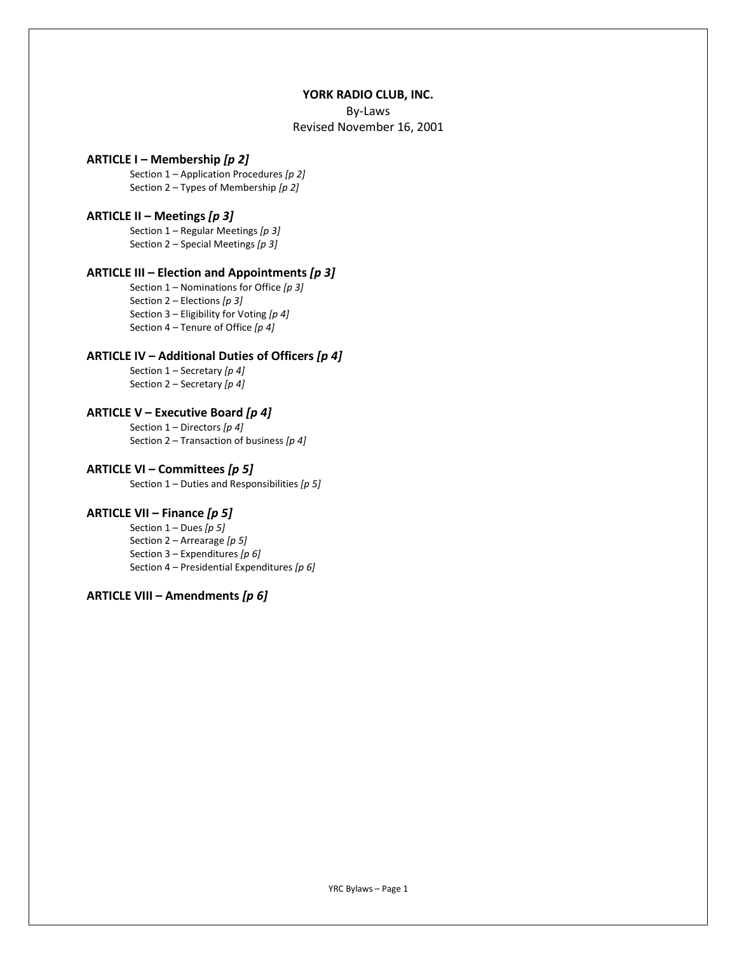#### YORK RADIO CLUB, INC.

By-Laws

Revised November 16, 2001

#### ARTICLE I – Membership [p 2]

Section  $1$  – Application Procedures [p 2] Section 2 – Types of Membership  $[p 2]$ 

#### ARTICLE II – Meetings  $[p 3]$

Section  $1$  – Regular Meetings [p 3] Section 2 – Special Meetings  $[p 3]$ 

## ARTICLE III – Election and Appointments  $[p 3]$

Section  $1$  – Nominations for Office [p 3] Section 2 – Elections  $[p 3]$ Section 3 – Eligibility for Voting  $[p 4]$ Section 4 – Tenure of Office  $[p 4]$ 

#### ARTICLE IV – Additional Duties of Officers  $[p 4]$

Section  $1$  – Secretary [p 4] Section  $2$  – Secretary  $[p 4]$ 

# ARTICLE V – Executive Board  $[p 4]$

Section  $1$  – Directors  $[p 4]$ Section 2 – Transaction of business  $[p 4]$ 

#### ARTICLE VI – Committees  $[p 5]$

Section  $1$  – Duties and Responsibilities [ $p 5$ ]

## ARTICLE VII – Finance  $[p 5]$

Section  $1 -$  Dues  $[p 5]$ Section  $2 -$  Arrearage [p 5] Section 3 – Expenditures [ $p 6$ ] Section 4 – Presidential Expenditures [ $p 6$ ]

# ARTICLE VIII – Amendments  $[p 6]$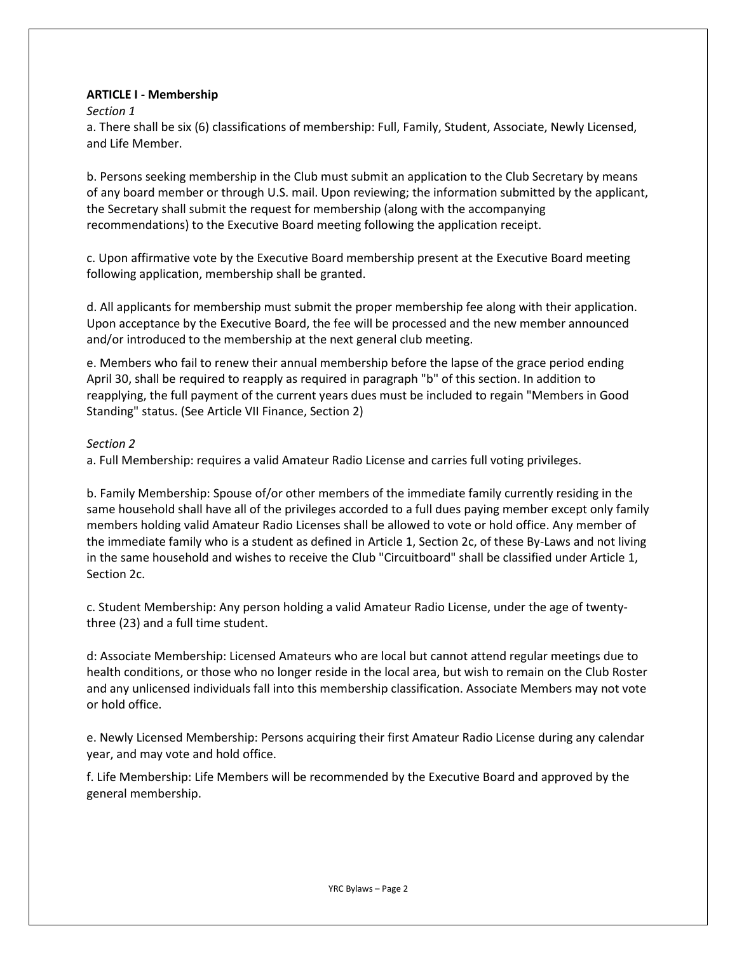# ARTICLE I - Membership

## Section 1

a. There shall be six (6) classifications of membership: Full, Family, Student, Associate, Newly Licensed, and Life Member.

b. Persons seeking membership in the Club must submit an application to the Club Secretary by means of any board member or through U.S. mail. Upon reviewing; the information submitted by the applicant, the Secretary shall submit the request for membership (along with the accompanying recommendations) to the Executive Board meeting following the application receipt.

c. Upon affirmative vote by the Executive Board membership present at the Executive Board meeting following application, membership shall be granted.

d. All applicants for membership must submit the proper membership fee along with their application. Upon acceptance by the Executive Board, the fee will be processed and the new member announced and/or introduced to the membership at the next general club meeting.

e. Members who fail to renew their annual membership before the lapse of the grace period ending April 30, shall be required to reapply as required in paragraph "b" of this section. In addition to reapplying, the full payment of the current years dues must be included to regain "Members in Good Standing" status. (See Article VII Finance, Section 2)

# Section 2

a. Full Membership: requires a valid Amateur Radio License and carries full voting privileges.

b. Family Membership: Spouse of/or other members of the immediate family currently residing in the same household shall have all of the privileges accorded to a full dues paying member except only family members holding valid Amateur Radio Licenses shall be allowed to vote or hold office. Any member of the immediate family who is a student as defined in Article 1, Section 2c, of these By-Laws and not living in the same household and wishes to receive the Club "Circuitboard" shall be classified under Article 1, Section 2c.

c. Student Membership: Any person holding a valid Amateur Radio License, under the age of twentythree (23) and a full time student.

d: Associate Membership: Licensed Amateurs who are local but cannot attend regular meetings due to health conditions, or those who no longer reside in the local area, but wish to remain on the Club Roster and any unlicensed individuals fall into this membership classification. Associate Members may not vote or hold office.

e. Newly Licensed Membership: Persons acquiring their first Amateur Radio License during any calendar year, and may vote and hold office.

f. Life Membership: Life Members will be recommended by the Executive Board and approved by the general membership.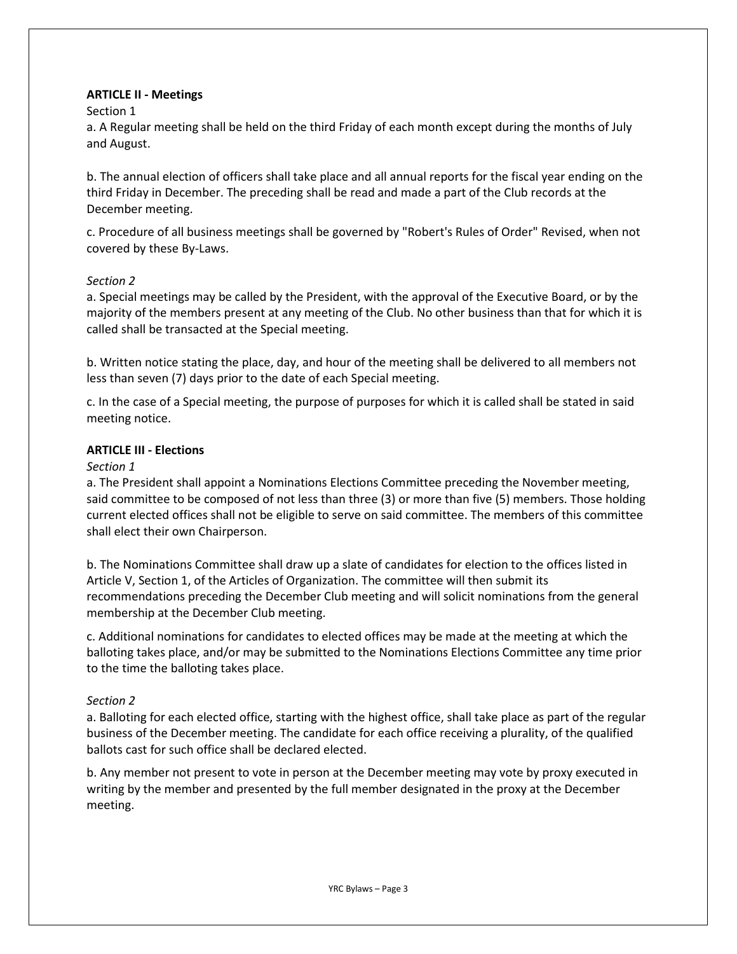# ARTICLE II - Meetings

## Section 1

a. A Regular meeting shall be held on the third Friday of each month except during the months of July and August.

b. The annual election of officers shall take place and all annual reports for the fiscal year ending on the third Friday in December. The preceding shall be read and made a part of the Club records at the December meeting.

c. Procedure of all business meetings shall be governed by "Robert's Rules of Order" Revised, when not covered by these By-Laws.

# Section 2

a. Special meetings may be called by the President, with the approval of the Executive Board, or by the majority of the members present at any meeting of the Club. No other business than that for which it is called shall be transacted at the Special meeting.

b. Written notice stating the place, day, and hour of the meeting shall be delivered to all members not less than seven (7) days prior to the date of each Special meeting.

c. In the case of a Special meeting, the purpose of purposes for which it is called shall be stated in said meeting notice.

## ARTICLE III - Elections

## Section 1

a. The President shall appoint a Nominations Elections Committee preceding the November meeting, said committee to be composed of not less than three (3) or more than five (5) members. Those holding current elected offices shall not be eligible to serve on said committee. The members of this committee shall elect their own Chairperson.

b. The Nominations Committee shall draw up a slate of candidates for election to the offices listed in Article V, Section 1, of the Articles of Organization. The committee will then submit its recommendations preceding the December Club meeting and will solicit nominations from the general membership at the December Club meeting.

c. Additional nominations for candidates to elected offices may be made at the meeting at which the balloting takes place, and/or may be submitted to the Nominations Elections Committee any time prior to the time the balloting takes place.

# Section 2

a. Balloting for each elected office, starting with the highest office, shall take place as part of the regular business of the December meeting. The candidate for each office receiving a plurality, of the qualified ballots cast for such office shall be declared elected.

b. Any member not present to vote in person at the December meeting may vote by proxy executed in writing by the member and presented by the full member designated in the proxy at the December meeting.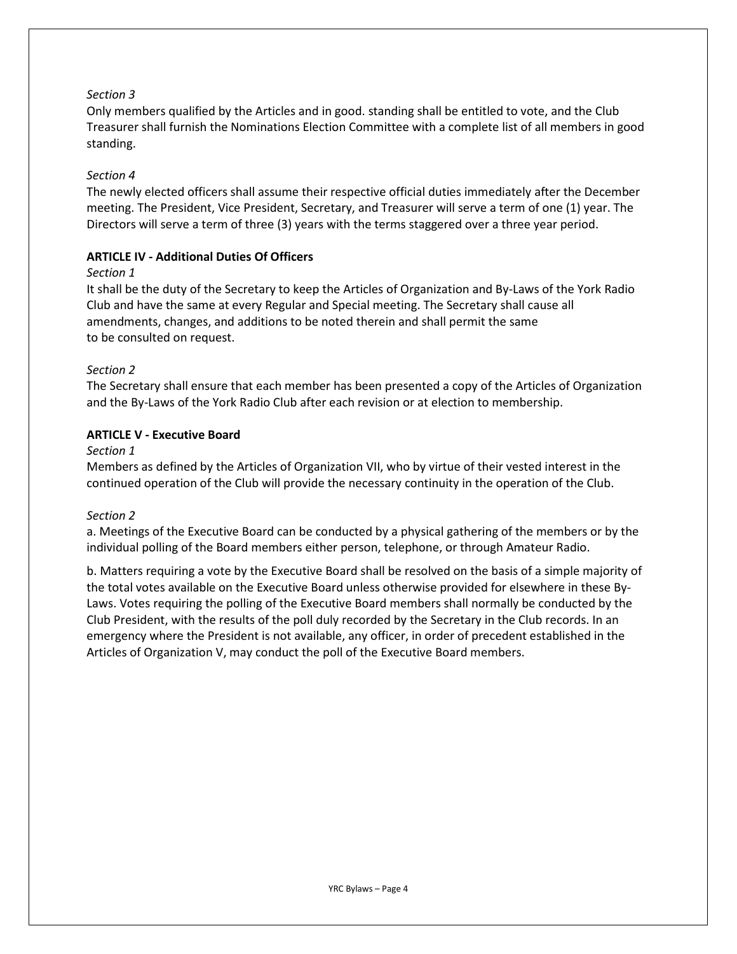# Section 3

Only members qualified by the Articles and in good. standing shall be entitled to vote, and the Club Treasurer shall furnish the Nominations Election Committee with a complete list of all members in good standing.

## Section 4

The newly elected officers shall assume their respective official duties immediately after the December meeting. The President, Vice President, Secretary, and Treasurer will serve a term of one (1) year. The Directors will serve a term of three (3) years with the terms staggered over a three year period.

#### ARTICLE IV - Additional Duties Of Officers

#### Section 1

It shall be the duty of the Secretary to keep the Articles of Organization and By-Laws of the York Radio Club and have the same at every Regular and Special meeting. The Secretary shall cause all amendments, changes, and additions to be noted therein and shall permit the same to be consulted on request.

## Section 2

The Secretary shall ensure that each member has been presented a copy of the Articles of Organization and the By-Laws of the York Radio Club after each revision or at election to membership.

## ARTICLE V - Executive Board

## Section 1

Members as defined by the Articles of Organization VII, who by virtue of their vested interest in the continued operation of the Club will provide the necessary continuity in the operation of the Club.

# Section 2

a. Meetings of the Executive Board can be conducted by a physical gathering of the members or by the individual polling of the Board members either person, telephone, or through Amateur Radio.

b. Matters requiring a vote by the Executive Board shall be resolved on the basis of a simple majority of the total votes available on the Executive Board unless otherwise provided for elsewhere in these By-Laws. Votes requiring the polling of the Executive Board members shall normally be conducted by the Club President, with the results of the poll duly recorded by the Secretary in the Club records. In an emergency where the President is not available, any officer, in order of precedent established in the Articles of Organization V, may conduct the poll of the Executive Board members.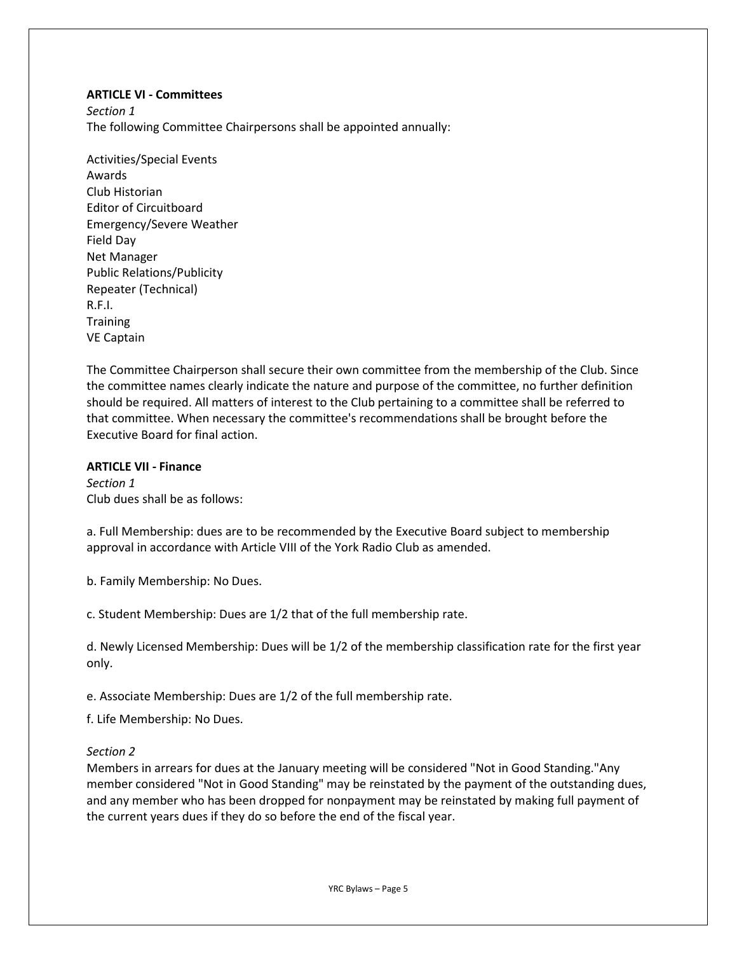#### ARTICLE VI - Committees

Section 1 The following Committee Chairpersons shall be appointed annually:

Activities/Special Events Awards Club Historian Editor of Circuitboard Emergency/Severe Weather Field Day Net Manager Public Relations/Publicity Repeater (Technical) R.F.I. **Training** VE Captain

The Committee Chairperson shall secure their own committee from the membership of the Club. Since the committee names clearly indicate the nature and purpose of the committee, no further definition should be required. All matters of interest to the Club pertaining to a committee shall be referred to that committee. When necessary the committee's recommendations shall be brought before the Executive Board for final action.

## ARTICLE VII - Finance

Section 1 Club dues shall be as follows:

a. Full Membership: dues are to be recommended by the Executive Board subject to membership approval in accordance with Article VIII of the York Radio Club as amended.

b. Family Membership: No Dues.

c. Student Membership: Dues are 1/2 that of the full membership rate.

d. Newly Licensed Membership: Dues will be 1/2 of the membership classification rate for the first year only.

e. Associate Membership: Dues are 1/2 of the full membership rate.

f. Life Membership: No Dues.

#### Section 2

Members in arrears for dues at the January meeting will be considered "Not in Good Standing."Any member considered "Not in Good Standing" may be reinstated by the payment of the outstanding dues, and any member who has been dropped for nonpayment may be reinstated by making full payment of the current years dues if they do so before the end of the fiscal year.